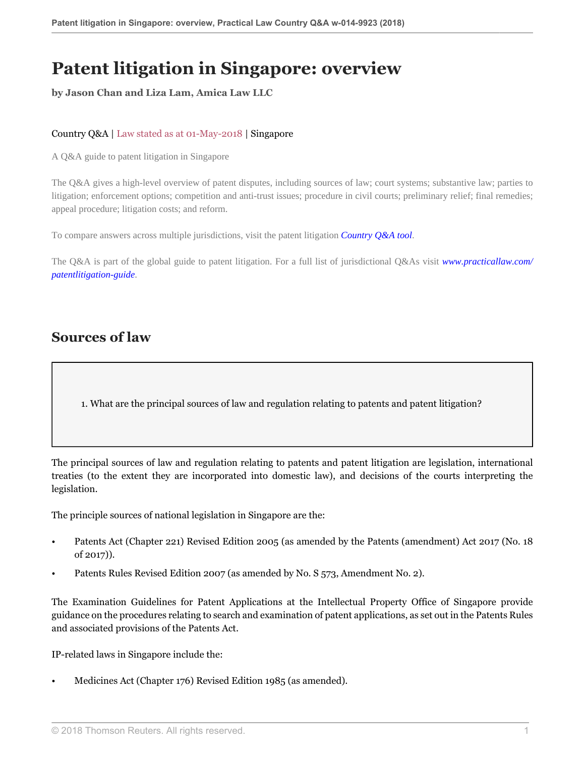# **Patent litigation in Singapore: overview**

**by Jason Chan and Liza Lam, Amica Law LLC**

#### Country Q&A | Law stated as at 01-May-2018 | Singapore

A Q&A guide to patent litigation in Singapore

The Q&A gives a high-level overview of patent disputes, including sources of law; court systems; substantive law; parties to litigation; enforcement options; competition and anti-trust issues; procedure in civil courts; preliminary relief; final remedies; appeal procedure; litigation costs; and reform.

To compare answers across multiple jurisdictions, visit the patent litigation *[Country Q&A tool](https://uk.practicallaw.thomsonreuters.com/QACompare/Builder/Country )*.

The Q&A is part of the global guide to patent litigation. For a full list of jurisdictional Q&As visit *[www.practicallaw.com/](https://uk.practicallaw.thomsonreuters.com/Browse/Home/International/PatentLitigationGlobalGuide ) [patentlitigation-guide](https://uk.practicallaw.thomsonreuters.com/Browse/Home/International/PatentLitigationGlobalGuide )*.

### **Sources of law**

1. What are the principal sources of law and regulation relating to patents and patent litigation?

The principal sources of law and regulation relating to patents and patent litigation are legislation, international treaties (to the extent they are incorporated into domestic law), and decisions of the courts interpreting the legislation.

The principle sources of national legislation in Singapore are the:

- Patents Act (Chapter 221) Revised Edition 2005 (as amended by the Patents (amendment) Act 2017 (No. 18 of 2017)).
- Patents Rules Revised Edition 2007 (as amended by No. S 573, Amendment No. 2).

The Examination Guidelines for Patent Applications at the Intellectual Property Office of Singapore provide guidance on the procedures relating to search and examination of patent applications, as set out in the Patents Rules and associated provisions of the Patents Act.

IP-related laws in Singapore include the:

• Medicines Act (Chapter 176) Revised Edition 1985 (as amended).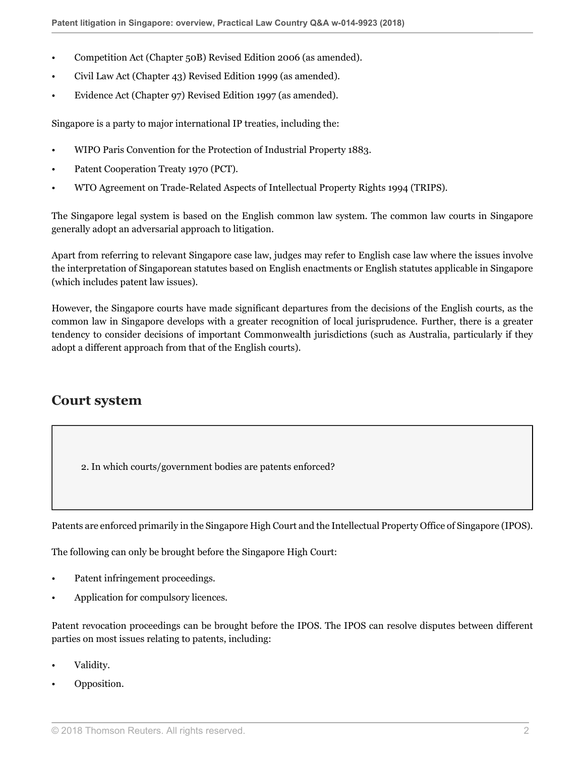- Competition Act (Chapter 50B) Revised Edition 2006 (as amended).
- Civil Law Act (Chapter 43) Revised Edition 1999 (as amended).
- Evidence Act (Chapter 97) Revised Edition 1997 (as amended).

Singapore is a party to major international IP treaties, including the:

- WIPO Paris Convention for the Protection of Industrial Property 1883.
- Patent Cooperation Treaty 1970 (PCT).
- WTO Agreement on Trade-Related Aspects of Intellectual Property Rights 1994 (TRIPS).

The Singapore legal system is based on the English common law system. The common law courts in Singapore generally adopt an adversarial approach to litigation.

Apart from referring to relevant Singapore case law, judges may refer to English case law where the issues involve the interpretation of Singaporean statutes based on English enactments or English statutes applicable in Singapore (which includes patent law issues).

However, the Singapore courts have made significant departures from the decisions of the English courts, as the common law in Singapore develops with a greater recognition of local jurisprudence. Further, there is a greater tendency to consider decisions of important Commonwealth jurisdictions (such as Australia, particularly if they adopt a different approach from that of the English courts).

### **Court system**

2. In which courts/government bodies are patents enforced?

Patents are enforced primarily in the Singapore High Court and the Intellectual Property Office of Singapore (IPOS).

The following can only be brought before the Singapore High Court:

- Patent infringement proceedings.
- Application for compulsory licences.

Patent revocation proceedings can be brought before the IPOS. The IPOS can resolve disputes between different parties on most issues relating to patents, including:

- Validity.
- Opposition.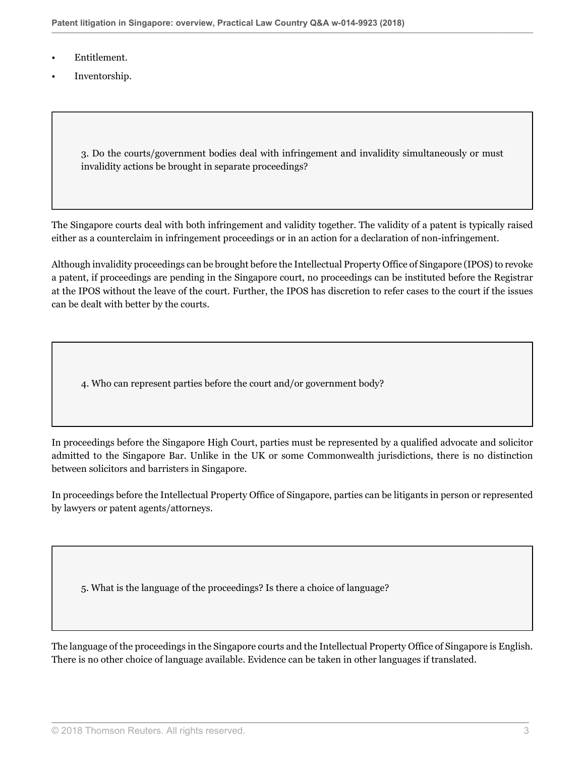- Entitlement.
- Inventorship.

3. Do the courts/government bodies deal with infringement and invalidity simultaneously or must invalidity actions be brought in separate proceedings?

The Singapore courts deal with both infringement and validity together. The validity of a patent is typically raised either as a counterclaim in infringement proceedings or in an action for a declaration of non-infringement.

Although invalidity proceedings can be brought before the Intellectual Property Office of Singapore (IPOS) to revoke a patent, if proceedings are pending in the Singapore court, no proceedings can be instituted before the Registrar at the IPOS without the leave of the court. Further, the IPOS has discretion to refer cases to the court if the issues can be dealt with better by the courts.

4. Who can represent parties before the court and/or government body?

In proceedings before the Singapore High Court, parties must be represented by a qualified advocate and solicitor admitted to the Singapore Bar. Unlike in the UK or some Commonwealth jurisdictions, there is no distinction between solicitors and barristers in Singapore.

In proceedings before the Intellectual Property Office of Singapore, parties can be litigants in person or represented by lawyers or patent agents/attorneys.

5. What is the language of the proceedings? Is there a choice of language?

The language of the proceedings in the Singapore courts and the Intellectual Property Office of Singapore is English. There is no other choice of language available. Evidence can be taken in other languages if translated.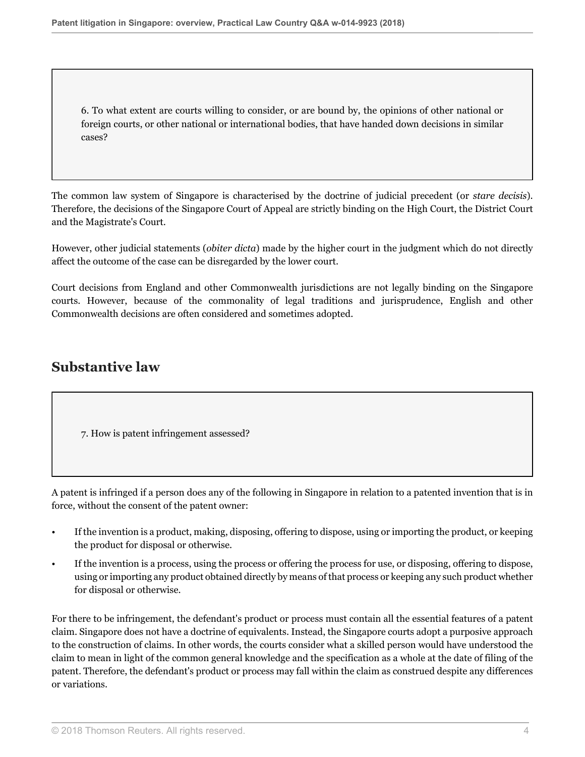6. To what extent are courts willing to consider, or are bound by, the opinions of other national or foreign courts, or other national or international bodies, that have handed down decisions in similar cases?

The common law system of Singapore is characterised by the doctrine of judicial precedent (or *stare decisis*). Therefore, the decisions of the Singapore Court of Appeal are strictly binding on the High Court, the District Court and the Magistrate's Court.

However, other judicial statements (*obiter dicta*) made by the higher court in the judgment which do not directly affect the outcome of the case can be disregarded by the lower court.

Court decisions from England and other Commonwealth jurisdictions are not legally binding on the Singapore courts. However, because of the commonality of legal traditions and jurisprudence, English and other Commonwealth decisions are often considered and sometimes adopted.

## **Substantive law**

7. How is patent infringement assessed?

A patent is infringed if a person does any of the following in Singapore in relation to a patented invention that is in force, without the consent of the patent owner:

- If the invention is a product, making, disposing, offering to dispose, using or importing the product, or keeping the product for disposal or otherwise.
- If the invention is a process, using the process or offering the process for use, or disposing, offering to dispose, using or importing any product obtained directly by means of that process or keeping any such product whether for disposal or otherwise.

For there to be infringement, the defendant's product or process must contain all the essential features of a patent claim. Singapore does not have a doctrine of equivalents. Instead, the Singapore courts adopt a purposive approach to the construction of claims. In other words, the courts consider what a skilled person would have understood the claim to mean in light of the common general knowledge and the specification as a whole at the date of filing of the patent. Therefore, the defendant's product or process may fall within the claim as construed despite any differences or variations.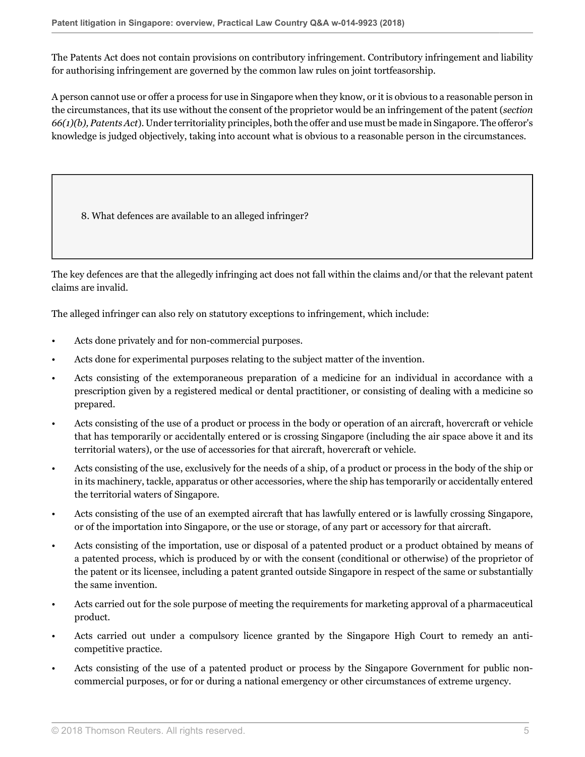The Patents Act does not contain provisions on contributory infringement. Contributory infringement and liability for authorising infringement are governed by the common law rules on joint tortfeasorship.

A person cannot use or offer a process for use in Singapore when they know, or it is obvious to a reasonable person in the circumstances, that its use without the consent of the proprietor would be an infringement of the patent (*section 66(1)(b), Patents Act*). Under territoriality principles, both the offer and use must be made in Singapore. The offeror's knowledge is judged objectively, taking into account what is obvious to a reasonable person in the circumstances.

<span id="page-4-0"></span>8. What defences are available to an alleged infringer?

The key defences are that the allegedly infringing act does not fall within the claims and/or that the relevant patent claims are invalid.

The alleged infringer can also rely on statutory exceptions to infringement, which include:

- Acts done privately and for non-commercial purposes.
- Acts done for experimental purposes relating to the subject matter of the invention.
- Acts consisting of the extemporaneous preparation of a medicine for an individual in accordance with a prescription given by a registered medical or dental practitioner, or consisting of dealing with a medicine so prepared.
- Acts consisting of the use of a product or process in the body or operation of an aircraft, hovercraft or vehicle that has temporarily or accidentally entered or is crossing Singapore (including the air space above it and its territorial waters), or the use of accessories for that aircraft, hovercraft or vehicle.
- Acts consisting of the use, exclusively for the needs of a ship, of a product or process in the body of the ship or in its machinery, tackle, apparatus or other accessories, where the ship has temporarily or accidentally entered the territorial waters of Singapore.
- Acts consisting of the use of an exempted aircraft that has lawfully entered or is lawfully crossing Singapore, or of the importation into Singapore, or the use or storage, of any part or accessory for that aircraft.
- Acts consisting of the importation, use or disposal of a patented product or a product obtained by means of a patented process, which is produced by or with the consent (conditional or otherwise) of the proprietor of the patent or its licensee, including a patent granted outside Singapore in respect of the same or substantially the same invention.
- Acts carried out for the sole purpose of meeting the requirements for marketing approval of a pharmaceutical product.
- Acts carried out under a compulsory licence granted by the Singapore High Court to remedy an anticompetitive practice.
- Acts consisting of the use of a patented product or process by the Singapore Government for public noncommercial purposes, or for or during a national emergency or other circumstances of extreme urgency.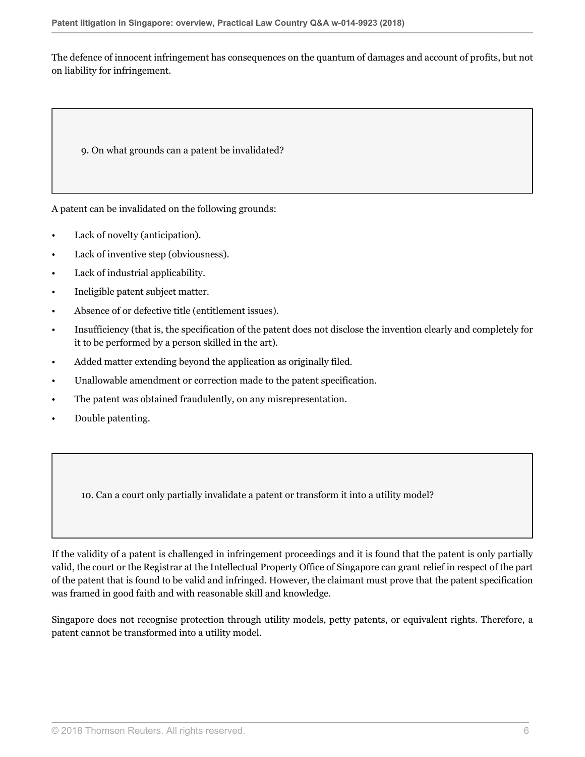The defence of innocent infringement has consequences on the quantum of damages and account of profits, but not on liability for infringement.

9. On what grounds can a patent be invalidated?

A patent can be invalidated on the following grounds:

- Lack of novelty (anticipation).
- Lack of inventive step (obviousness).
- Lack of industrial applicability.
- Ineligible patent subject matter.
- Absence of or defective title (entitlement issues).
- Insufficiency (that is, the specification of the patent does not disclose the invention clearly and completely for it to be performed by a person skilled in the art).
- Added matter extending beyond the application as originally filed.
- Unallowable amendment or correction made to the patent specification.
- The patent was obtained fraudulently, on any misrepresentation.
- Double patenting.

10. Can a court only partially invalidate a patent or transform it into a utility model?

If the validity of a patent is challenged in infringement proceedings and it is found that the patent is only partially valid, the court or the Registrar at the Intellectual Property Office of Singapore can grant relief in respect of the part of the patent that is found to be valid and infringed. However, the claimant must prove that the patent specification was framed in good faith and with reasonable skill and knowledge.

Singapore does not recognise protection through utility models, petty patents, or equivalent rights. Therefore, a patent cannot be transformed into a utility model.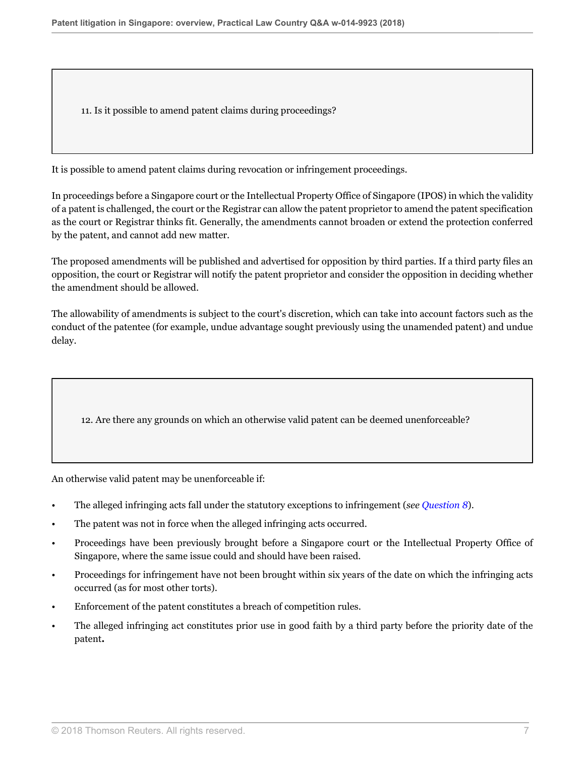11. Is it possible to amend patent claims during proceedings?

It is possible to amend patent claims during revocation or infringement proceedings.

In proceedings before a Singapore court or the Intellectual Property Office of Singapore (IPOS) in which the validity of a patent is challenged, the court or the Registrar can allow the patent proprietor to amend the patent specification as the court or Registrar thinks fit. Generally, the amendments cannot broaden or extend the protection conferred by the patent, and cannot add new matter.

The proposed amendments will be published and advertised for opposition by third parties. If a third party files an opposition, the court or Registrar will notify the patent proprietor and consider the opposition in deciding whether the amendment should be allowed.

The allowability of amendments is subject to the court's discretion, which can take into account factors such as the conduct of the patentee (for example, undue advantage sought previously using the unamended patent) and undue delay.

12. Are there any grounds on which an otherwise valid patent can be deemed unenforceable?

An otherwise valid patent may be unenforceable if:

- The alleged infringing acts fall under the statutory exceptions to infringement (*see [Question 8](#page-4-0)*).
- The patent was not in force when the alleged infringing acts occurred.
- Proceedings have been previously brought before a Singapore court or the Intellectual Property Office of Singapore, where the same issue could and should have been raised.
- Proceedings for infringement have not been brought within six years of the date on which the infringing acts occurred (as for most other torts).
- Enforcement of the patent constitutes a breach of competition rules.
- The alleged infringing act constitutes prior use in good faith by a third party before the priority date of the patent**.**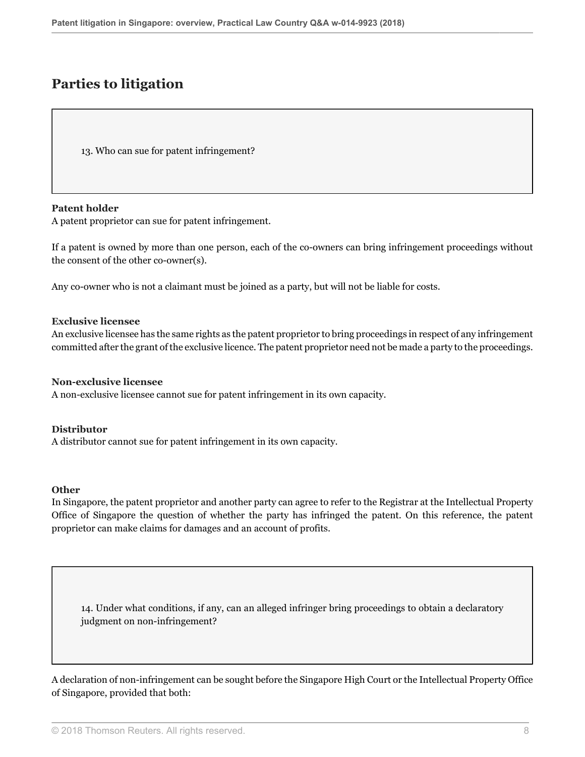## **Parties to litigation**

<span id="page-7-0"></span>13. Who can sue for patent infringement?

#### **Patent holder**

A patent proprietor can sue for patent infringement.

If a patent is owned by more than one person, each of the co-owners can bring infringement proceedings without the consent of the other co-owner(s).

Any co-owner who is not a claimant must be joined as a party, but will not be liable for costs.

#### **Exclusive licensee**

An exclusive licensee has the same rights as the patent proprietor to bring proceedings in respect of any infringement committed after the grant of the exclusive licence. The patent proprietor need not be made a party to the proceedings.

#### **Non-exclusive licensee**

A non-exclusive licensee cannot sue for patent infringement in its own capacity.

#### **Distributor**

<span id="page-7-1"></span>A distributor cannot sue for patent infringement in its own capacity.

#### **Other**

In Singapore, the patent proprietor and another party can agree to refer to the Registrar at the Intellectual Property Office of Singapore the question of whether the party has infringed the patent. On this reference, the patent proprietor can make claims for damages and an account of profits.

14. Under what conditions, if any, can an alleged infringer bring proceedings to obtain a declaratory judgment on non-infringement?

A declaration of non-infringement can be sought before the Singapore High Court or the Intellectual Property Office of Singapore, provided that both: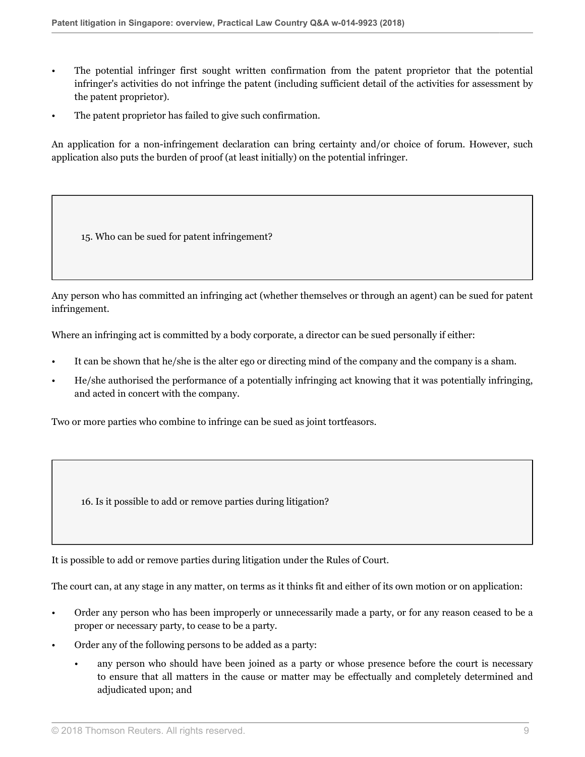- The potential infringer first sought written confirmation from the patent proprietor that the potential infringer's activities do not infringe the patent (including sufficient detail of the activities for assessment by the patent proprietor).
- The patent proprietor has failed to give such confirmation.

An application for a non-infringement declaration can bring certainty and/or choice of forum. However, such application also puts the burden of proof (at least initially) on the potential infringer.

15. Who can be sued for patent infringement?

Any person who has committed an infringing act (whether themselves or through an agent) can be sued for patent infringement.

Where an infringing act is committed by a body corporate, a director can be sued personally if either:

- It can be shown that he/she is the alter ego or directing mind of the company and the company is a sham.
- He/she authorised the performance of a potentially infringing act knowing that it was potentially infringing, and acted in concert with the company.

Two or more parties who combine to infringe can be sued as joint tortfeasors.

16. Is it possible to add or remove parties during litigation?

It is possible to add or remove parties during litigation under the Rules of Court.

The court can, at any stage in any matter, on terms as it thinks fit and either of its own motion or on application:

- Order any person who has been improperly or unnecessarily made a party, or for any reason ceased to be a proper or necessary party, to cease to be a party.
- Order any of the following persons to be added as a party:
	- any person who should have been joined as a party or whose presence before the court is necessary to ensure that all matters in the cause or matter may be effectually and completely determined and adjudicated upon; and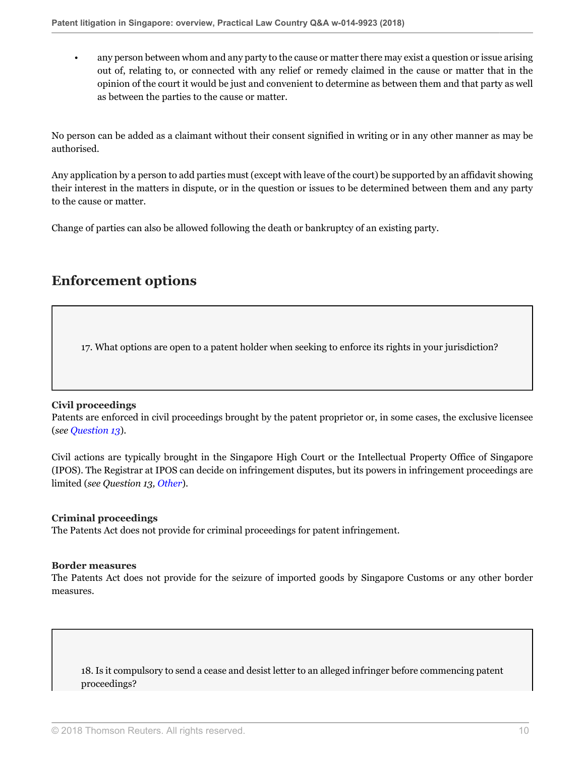• any person between whom and any party to the cause or matter there may exist a question or issue arising out of, relating to, or connected with any relief or remedy claimed in the cause or matter that in the opinion of the court it would be just and convenient to determine as between them and that party as well as between the parties to the cause or matter.

No person can be added as a claimant without their consent signified in writing or in any other manner as may be authorised.

Any application by a person to add parties must (except with leave of the court) be supported by an affidavit showing their interest in the matters in dispute, or in the question or issues to be determined between them and any party to the cause or matter.

Change of parties can also be allowed following the death or bankruptcy of an existing party.

## **Enforcement options**

17. What options are open to a patent holder when seeking to enforce its rights in your jurisdiction?

#### **Civil proceedings**

Patents are enforced in civil proceedings brought by the patent proprietor or, in some cases, the exclusive licensee (*see [Question 13](#page-7-0)*).

Civil actions are typically brought in the Singapore High Court or the Intellectual Property Office of Singapore (IPOS). The Registrar at IPOS can decide on infringement disputes, but its powers in infringement proceedings are limited (*see Question 13, [Other](#page-7-1)*).

#### **Criminal proceedings**

The Patents Act does not provide for criminal proceedings for patent infringement.

#### **Border measures**

The Patents Act does not provide for the seizure of imported goods by Singapore Customs or any other border measures.

18. Is it compulsory to send a cease and desist letter to an alleged infringer before commencing patent proceedings?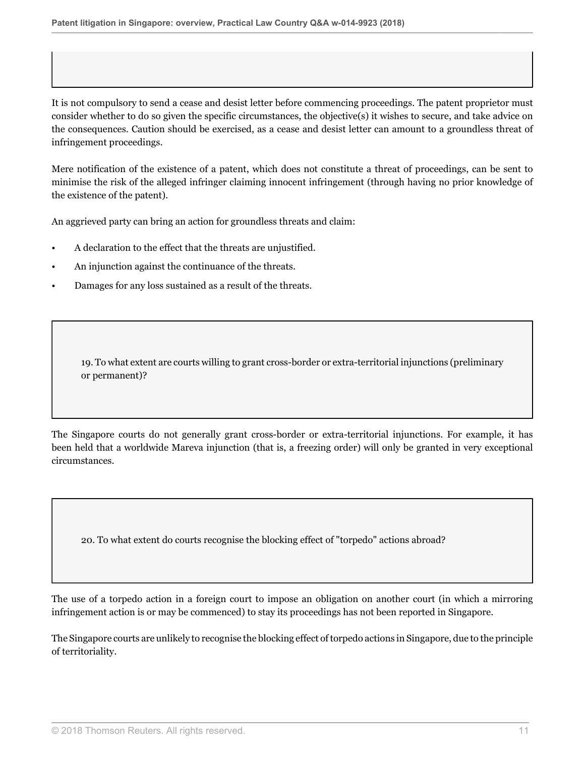It is not compulsory to send a cease and desist letter before commencing proceedings. The patent proprietor must consider whether to do so given the specific circumstances, the objective(s) it wishes to secure, and take advice on the consequences. Caution should be exercised, as a cease and desist letter can amount to a groundless threat of infringement proceedings.

Mere notification of the existence of a patent, which does not constitute a threat of proceedings, can be sent to minimise the risk of the alleged infringer claiming innocent infringement (through having no prior knowledge of the existence of the patent).

An aggrieved party can bring an action for groundless threats and claim:

- A declaration to the effect that the threats are unjustified.
- An injunction against the continuance of the threats.
- Damages for any loss sustained as a result of the threats.

19. To what extent are courts willing to grant cross-border or extra-territorial injunctions (preliminary or permanent)?

The Singapore courts do not generally grant cross-border or extra-territorial injunctions. For example, it has been held that a worldwide Mareva injunction (that is, a freezing order) will only be granted in very exceptional circumstances.

20. To what extent do courts recognise the blocking effect of "torpedo" actions abroad?

The use of a torpedo action in a foreign court to impose an obligation on another court (in which a mirroring infringement action is or may be commenced) to stay its proceedings has not been reported in Singapore.

The Singapore courts are unlikely to recognise the blocking effect of torpedo actions in Singapore, due to the principle of territoriality.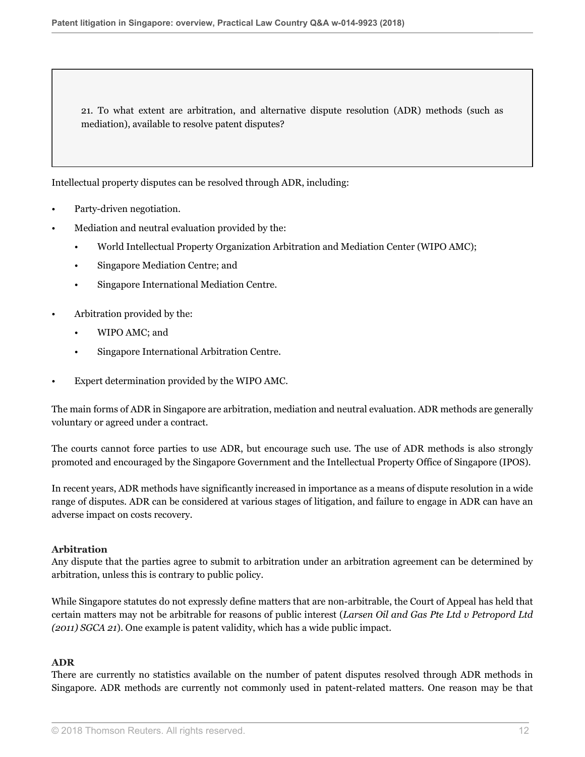21. To what extent are arbitration, and alternative dispute resolution (ADR) methods (such as mediation), available to resolve patent disputes?

Intellectual property disputes can be resolved through ADR, including:

- Party-driven negotiation.
- Mediation and neutral evaluation provided by the:
	- World Intellectual Property Organization Arbitration and Mediation Center (WIPO AMC);
	- Singapore Mediation Centre; and
	- Singapore International Mediation Centre.
- Arbitration provided by the:
	- WIPO AMC; and
	- Singapore International Arbitration Centre.
- Expert determination provided by the WIPO AMC.

The main forms of ADR in Singapore are arbitration, mediation and neutral evaluation. ADR methods are generally voluntary or agreed under a contract.

The courts cannot force parties to use ADR, but encourage such use. The use of ADR methods is also strongly promoted and encouraged by the Singapore Government and the Intellectual Property Office of Singapore (IPOS).

In recent years, ADR methods have significantly increased in importance as a means of dispute resolution in a wide range of disputes. ADR can be considered at various stages of litigation, and failure to engage in ADR can have an adverse impact on costs recovery.

#### **Arbitration**

Any dispute that the parties agree to submit to arbitration under an arbitration agreement can be determined by arbitration, unless this is contrary to public policy.

While Singapore statutes do not expressly define matters that are non-arbitrable, the Court of Appeal has held that certain matters may not be arbitrable for reasons of public interest (*Larsen Oil and Gas Pte Ltd v Petropord Ltd (2011) SGCA 21*). One example is patent validity, which has a wide public impact.

#### **ADR**

There are currently no statistics available on the number of patent disputes resolved through ADR methods in Singapore. ADR methods are currently not commonly used in patent-related matters. One reason may be that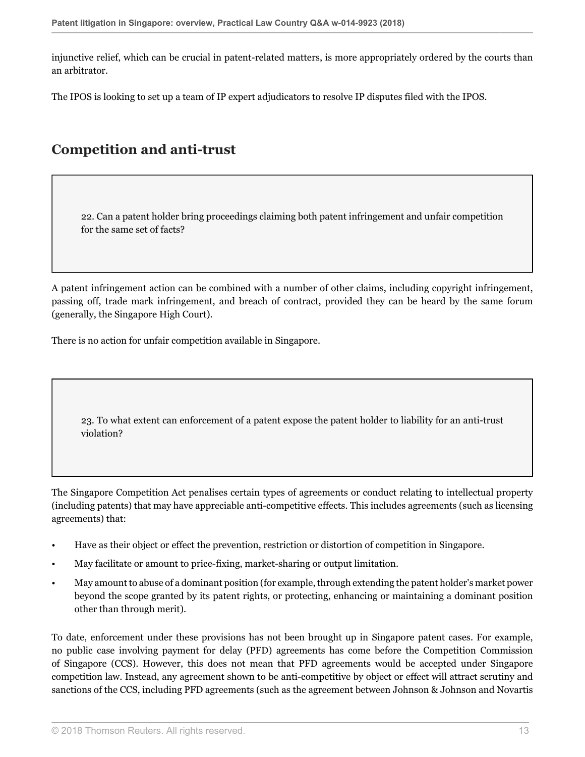injunctive relief, which can be crucial in patent-related matters, is more appropriately ordered by the courts than an arbitrator.

The IPOS is looking to set up a team of IP expert adjudicators to resolve IP disputes filed with the IPOS.

## **Competition and anti-trust**

22. Can a patent holder bring proceedings claiming both patent infringement and unfair competition for the same set of facts?

A patent infringement action can be combined with a number of other claims, including copyright infringement, passing off, trade mark infringement, and breach of contract, provided they can be heard by the same forum (generally, the Singapore High Court).

There is no action for unfair competition available in Singapore.

23. To what extent can enforcement of a patent expose the patent holder to liability for an anti-trust violation?

The Singapore Competition Act penalises certain types of agreements or conduct relating to intellectual property (including patents) that may have appreciable anti-competitive effects. This includes agreements (such as licensing agreements) that:

- Have as their object or effect the prevention, restriction or distortion of competition in Singapore.
- May facilitate or amount to price-fixing, market-sharing or output limitation.
- May amount to abuse of a dominant position (for example, through extending the patent holder's market power beyond the scope granted by its patent rights, or protecting, enhancing or maintaining a dominant position other than through merit).

To date, enforcement under these provisions has not been brought up in Singapore patent cases. For example, no public case involving payment for delay (PFD) agreements has come before the Competition Commission of Singapore (CCS). However, this does not mean that PFD agreements would be accepted under Singapore competition law. Instead, any agreement shown to be anti-competitive by object or effect will attract scrutiny and sanctions of the CCS, including PFD agreements (such as the agreement between Johnson & Johnson and Novartis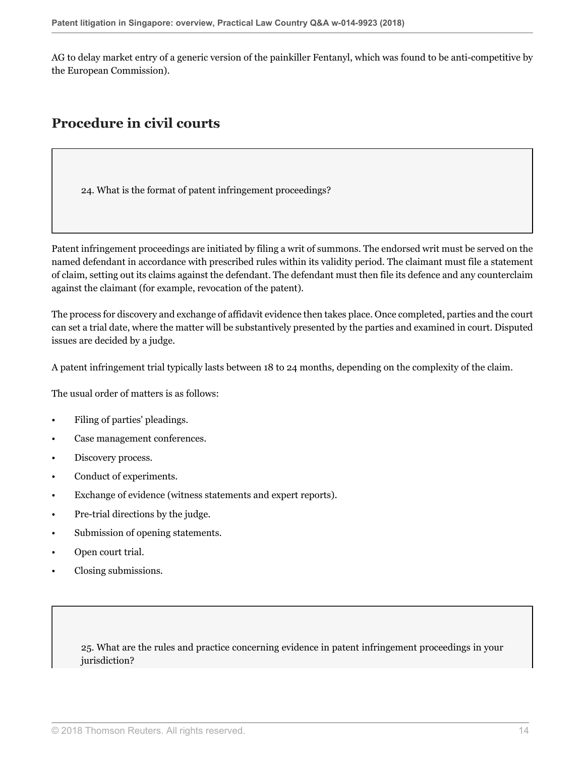AG to delay market entry of a generic version of the painkiller Fentanyl, which was found to be anti-competitive by the European Commission).

### **Procedure in civil courts**

24. What is the format of patent infringement proceedings?

Patent infringement proceedings are initiated by filing a writ of summons. The endorsed writ must be served on the named defendant in accordance with prescribed rules within its validity period. The claimant must file a statement of claim, setting out its claims against the defendant. The defendant must then file its defence and any counterclaim against the claimant (for example, revocation of the patent).

The process for discovery and exchange of affidavit evidence then takes place. Once completed, parties and the court can set a trial date, where the matter will be substantively presented by the parties and examined in court. Disputed issues are decided by a judge.

A patent infringement trial typically lasts between 18 to 24 months, depending on the complexity of the claim.

The usual order of matters is as follows:

- Filing of parties' pleadings.
- Case management conferences.
- Discovery process.
- Conduct of experiments.
- Exchange of evidence (witness statements and expert reports).
- Pre-trial directions by the judge.
- Submission of opening statements.
- Open court trial.
- Closing submissions.

25. What are the rules and practice concerning evidence in patent infringement proceedings in your jurisdiction?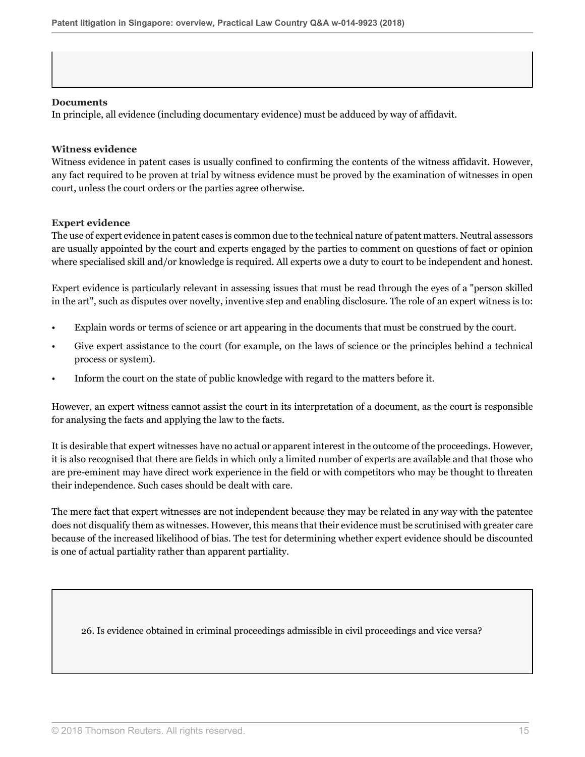#### **Documents**

In principle, all evidence (including documentary evidence) must be adduced by way of affidavit.

#### **Witness evidence**

Witness evidence in patent cases is usually confined to confirming the contents of the witness affidavit. However, any fact required to be proven at trial by witness evidence must be proved by the examination of witnesses in open court, unless the court orders or the parties agree otherwise.

#### **Expert evidence**

The use of expert evidence in patent cases is common due to the technical nature of patent matters. Neutral assessors are usually appointed by the court and experts engaged by the parties to comment on questions of fact or opinion where specialised skill and/or knowledge is required. All experts owe a duty to court to be independent and honest.

Expert evidence is particularly relevant in assessing issues that must be read through the eyes of a "person skilled in the art", such as disputes over novelty, inventive step and enabling disclosure. The role of an expert witness is to:

- Explain words or terms of science or art appearing in the documents that must be construed by the court.
- Give expert assistance to the court (for example, on the laws of science or the principles behind a technical process or system).
- Inform the court on the state of public knowledge with regard to the matters before it.

However, an expert witness cannot assist the court in its interpretation of a document, as the court is responsible for analysing the facts and applying the law to the facts.

It is desirable that expert witnesses have no actual or apparent interest in the outcome of the proceedings. However, it is also recognised that there are fields in which only a limited number of experts are available and that those who are pre-eminent may have direct work experience in the field or with competitors who may be thought to threaten their independence. Such cases should be dealt with care.

The mere fact that expert witnesses are not independent because they may be related in any way with the patentee does not disqualify them as witnesses. However, this means that their evidence must be scrutinised with greater care because of the increased likelihood of bias. The test for determining whether expert evidence should be discounted is one of actual partiality rather than apparent partiality.

26. Is evidence obtained in criminal proceedings admissible in civil proceedings and vice versa?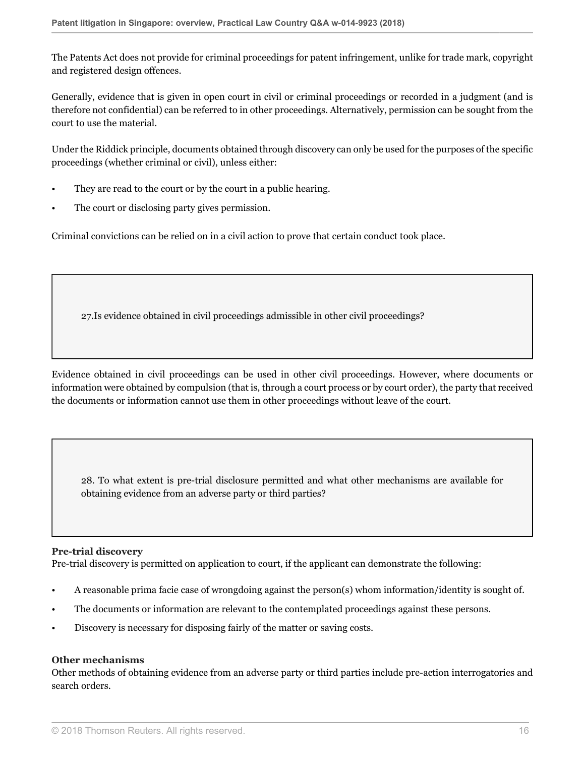The Patents Act does not provide for criminal proceedings for patent infringement, unlike for trade mark, copyright and registered design offences.

Generally, evidence that is given in open court in civil or criminal proceedings or recorded in a judgment (and is therefore not confidential) can be referred to in other proceedings. Alternatively, permission can be sought from the court to use the material.

Under the Riddick principle, documents obtained through discovery can only be used for the purposes of the specific proceedings (whether criminal or civil), unless either:

- They are read to the court or by the court in a public hearing.
- The court or disclosing party gives permission.

Criminal convictions can be relied on in a civil action to prove that certain conduct took place.

27.Is evidence obtained in civil proceedings admissible in other civil proceedings?

Evidence obtained in civil proceedings can be used in other civil proceedings. However, where documents or information were obtained by compulsion (that is, through a court process or by court order), the party that received the documents or information cannot use them in other proceedings without leave of the court.

28. To what extent is pre-trial disclosure permitted and what other mechanisms are available for obtaining evidence from an adverse party or third parties?

#### **Pre-trial discovery**

Pre-trial discovery is permitted on application to court, if the applicant can demonstrate the following:

- A reasonable prima facie case of wrongdoing against the person(s) whom information/identity is sought of.
- The documents or information are relevant to the contemplated proceedings against these persons.
- Discovery is necessary for disposing fairly of the matter or saving costs.

#### **Other mechanisms**

Other methods of obtaining evidence from an adverse party or third parties include pre-action interrogatories and search orders.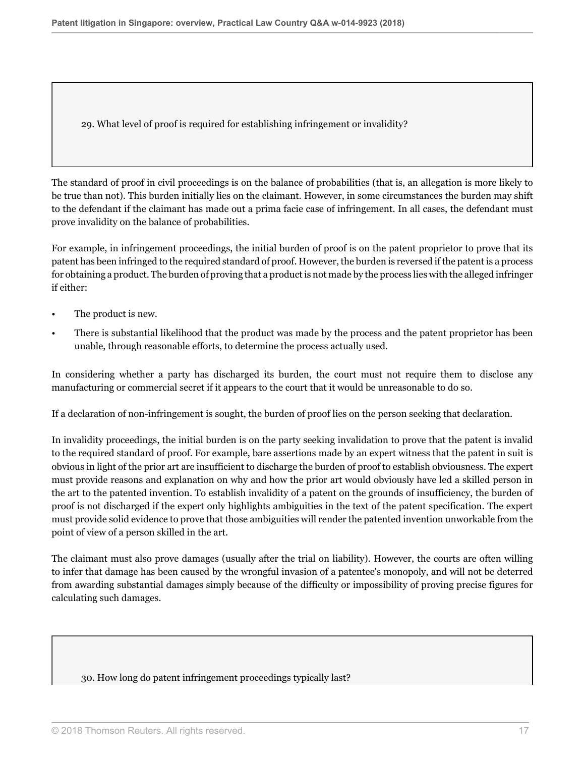29. What level of proof is required for establishing infringement or invalidity?

The standard of proof in civil proceedings is on the balance of probabilities (that is, an allegation is more likely to be true than not). This burden initially lies on the claimant. However, in some circumstances the burden may shift to the defendant if the claimant has made out a prima facie case of infringement. In all cases, the defendant must prove invalidity on the balance of probabilities.

For example, in infringement proceedings, the initial burden of proof is on the patent proprietor to prove that its patent has been infringed to the required standard of proof. However, the burden is reversed if the patent is a process for obtaining a product. The burden of proving that a product is not made by the process lies with the alleged infringer if either:

- The product is new.
- There is substantial likelihood that the product was made by the process and the patent proprietor has been unable, through reasonable efforts, to determine the process actually used.

In considering whether a party has discharged its burden, the court must not require them to disclose any manufacturing or commercial secret if it appears to the court that it would be unreasonable to do so.

If a declaration of non-infringement is sought, the burden of proof lies on the person seeking that declaration.

In invalidity proceedings, the initial burden is on the party seeking invalidation to prove that the patent is invalid to the required standard of proof. For example, bare assertions made by an expert witness that the patent in suit is obvious in light of the prior art are insufficient to discharge the burden of proof to establish obviousness. The expert must provide reasons and explanation on why and how the prior art would obviously have led a skilled person in the art to the patented invention. To establish invalidity of a patent on the grounds of insufficiency, the burden of proof is not discharged if the expert only highlights ambiguities in the text of the patent specification. The expert must provide solid evidence to prove that those ambiguities will render the patented invention unworkable from the point of view of a person skilled in the art.

The claimant must also prove damages (usually after the trial on liability). However, the courts are often willing to infer that damage has been caused by the wrongful invasion of a patentee's monopoly, and will not be deterred from awarding substantial damages simply because of the difficulty or impossibility of proving precise figures for calculating such damages.

#### 30. How long do patent infringement proceedings typically last?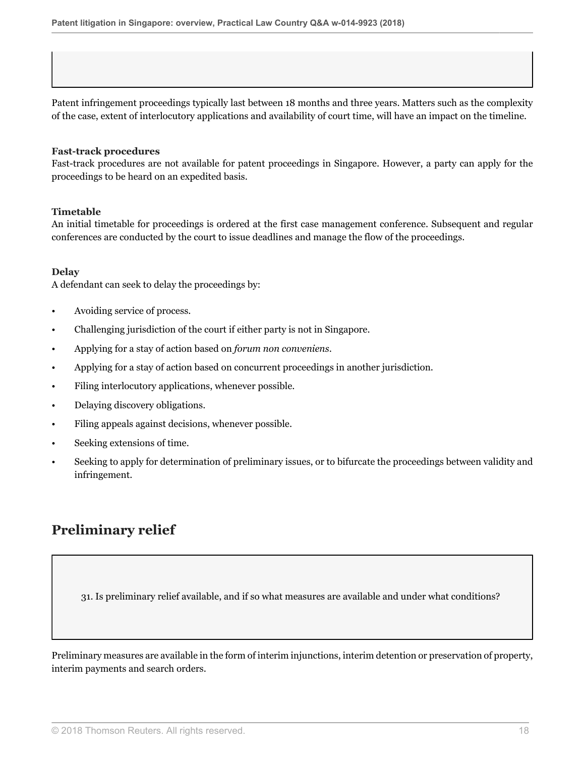Patent infringement proceedings typically last between 18 months and three years. Matters such as the complexity of the case, extent of interlocutory applications and availability of court time, will have an impact on the timeline.

#### **Fast-track procedures**

Fast-track procedures are not available for patent proceedings in Singapore. However, a party can apply for the proceedings to be heard on an expedited basis.

#### **Timetable**

An initial timetable for proceedings is ordered at the first case management conference. Subsequent and regular conferences are conducted by the court to issue deadlines and manage the flow of the proceedings.

#### **Delay**

A defendant can seek to delay the proceedings by:

- Avoiding service of process.
- Challenging jurisdiction of the court if either party is not in Singapore.
- Applying for a stay of action based on *forum non conveniens*.
- Applying for a stay of action based on concurrent proceedings in another jurisdiction.
- Filing interlocutory applications, whenever possible.
- Delaying discovery obligations.
- Filing appeals against decisions, whenever possible.
- Seeking extensions of time.
- Seeking to apply for determination of preliminary issues, or to bifurcate the proceedings between validity and infringement.

## **Preliminary relief**

31. Is preliminary relief available, and if so what measures are available and under what conditions?

Preliminary measures are available in the form of interim injunctions, interim detention or preservation of property, interim payments and search orders.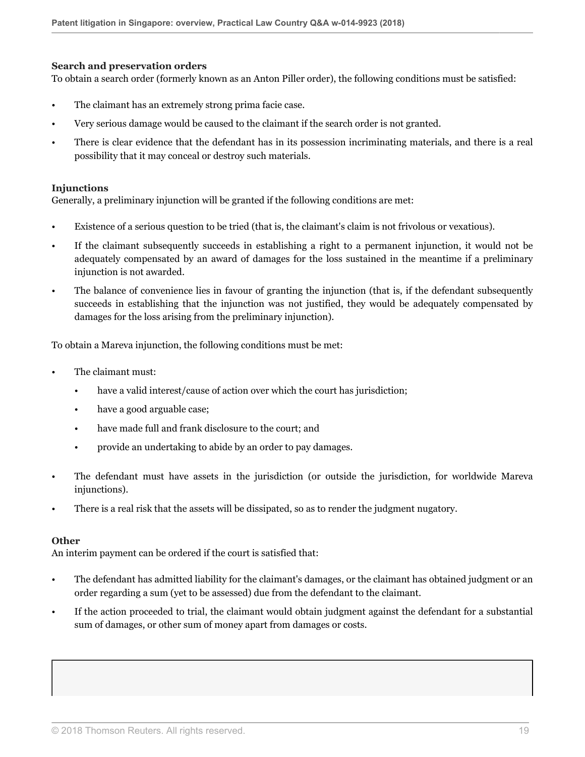#### **Search and preservation orders**

To obtain a search order (formerly known as an Anton Piller order), the following conditions must be satisfied:

- The claimant has an extremely strong prima facie case.
- Very serious damage would be caused to the claimant if the search order is not granted.
- There is clear evidence that the defendant has in its possession incriminating materials, and there is a real possibility that it may conceal or destroy such materials.

#### **Injunctions**

Generally, a preliminary injunction will be granted if the following conditions are met:

- Existence of a serious question to be tried (that is, the claimant's claim is not frivolous or vexatious).
- If the claimant subsequently succeeds in establishing a right to a permanent injunction, it would not be adequately compensated by an award of damages for the loss sustained in the meantime if a preliminary injunction is not awarded.
- The balance of convenience lies in favour of granting the injunction (that is, if the defendant subsequently succeeds in establishing that the injunction was not justified, they would be adequately compensated by damages for the loss arising from the preliminary injunction).

To obtain a Mareva injunction, the following conditions must be met:

- The claimant must:
	- have a valid interest/cause of action over which the court has jurisdiction;
	- have a good arguable case;
	- have made full and frank disclosure to the court; and
	- provide an undertaking to abide by an order to pay damages.
- The defendant must have assets in the jurisdiction (or outside the jurisdiction, for worldwide Mareva injunctions).
- There is a real risk that the assets will be dissipated, so as to render the judgment nugatory.

#### **Other**

An interim payment can be ordered if the court is satisfied that:

- The defendant has admitted liability for the claimant's damages, or the claimant has obtained judgment or an order regarding a sum (yet to be assessed) due from the defendant to the claimant.
- If the action proceeded to trial, the claimant would obtain judgment against the defendant for a substantial sum of damages, or other sum of money apart from damages or costs.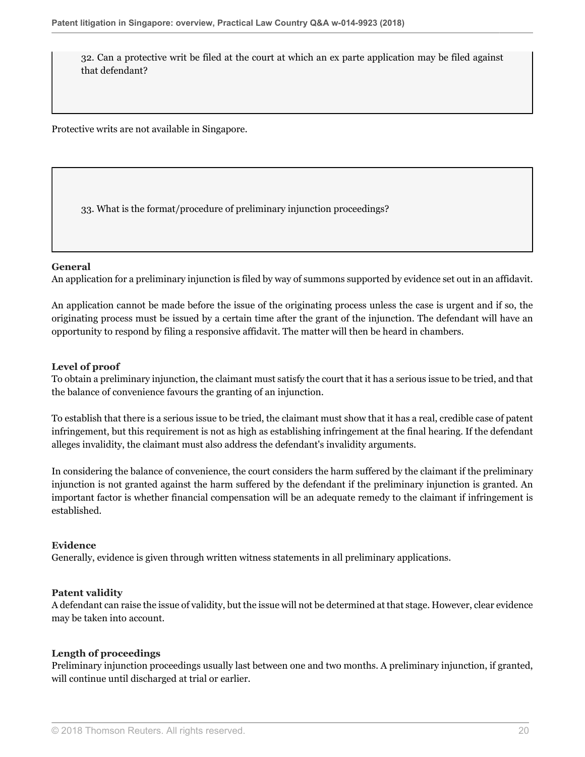32. Can a protective writ be filed at the court at which an ex parte application may be filed against that defendant?

Protective writs are not available in Singapore.

33. What is the format/procedure of preliminary injunction proceedings?

#### **General**

An application for a preliminary injunction is filed by way of summons supported by evidence set out in an affidavit.

An application cannot be made before the issue of the originating process unless the case is urgent and if so, the originating process must be issued by a certain time after the grant of the injunction. The defendant will have an opportunity to respond by filing a responsive affidavit. The matter will then be heard in chambers.

#### **Level of proof**

To obtain a preliminary injunction, the claimant must satisfy the court that it has a serious issue to be tried, and that the balance of convenience favours the granting of an injunction.

To establish that there is a serious issue to be tried, the claimant must show that it has a real, credible case of patent infringement, but this requirement is not as high as establishing infringement at the final hearing. If the defendant alleges invalidity, the claimant must also address the defendant's invalidity arguments.

In considering the balance of convenience, the court considers the harm suffered by the claimant if the preliminary injunction is not granted against the harm suffered by the defendant if the preliminary injunction is granted. An important factor is whether financial compensation will be an adequate remedy to the claimant if infringement is established.

#### **Evidence**

Generally, evidence is given through written witness statements in all preliminary applications.

#### **Patent validity**

A defendant can raise the issue of validity, but the issue will not be determined at that stage. However, clear evidence may be taken into account.

#### **Length of proceedings**

Preliminary injunction proceedings usually last between one and two months. A preliminary injunction, if granted, will continue until discharged at trial or earlier.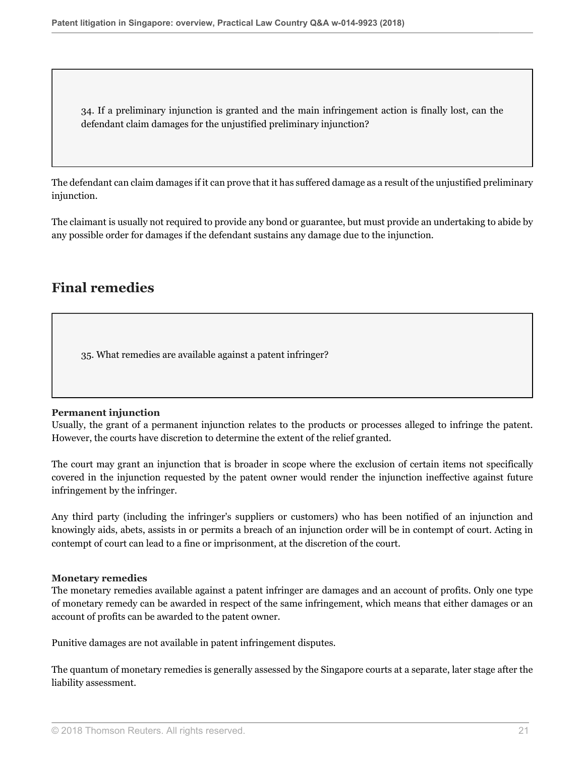34. If a preliminary injunction is granted and the main infringement action is finally lost, can the defendant claim damages for the unjustified preliminary injunction?

The defendant can claim damages if it can prove that it has suffered damage as a result of the unjustified preliminary injunction.

The claimant is usually not required to provide any bond or guarantee, but must provide an undertaking to abide by any possible order for damages if the defendant sustains any damage due to the injunction.

## **Final remedies**

35. What remedies are available against a patent infringer?

#### **Permanent injunction**

Usually, the grant of a permanent injunction relates to the products or processes alleged to infringe the patent. However, the courts have discretion to determine the extent of the relief granted.

The court may grant an injunction that is broader in scope where the exclusion of certain items not specifically covered in the injunction requested by the patent owner would render the injunction ineffective against future infringement by the infringer.

Any third party (including the infringer's suppliers or customers) who has been notified of an injunction and knowingly aids, abets, assists in or permits a breach of an injunction order will be in contempt of court. Acting in contempt of court can lead to a fine or imprisonment, at the discretion of the court.

#### **Monetary remedies**

The monetary remedies available against a patent infringer are damages and an account of profits. Only one type of monetary remedy can be awarded in respect of the same infringement, which means that either damages or an account of profits can be awarded to the patent owner.

Punitive damages are not available in patent infringement disputes.

The quantum of monetary remedies is generally assessed by the Singapore courts at a separate, later stage after the liability assessment.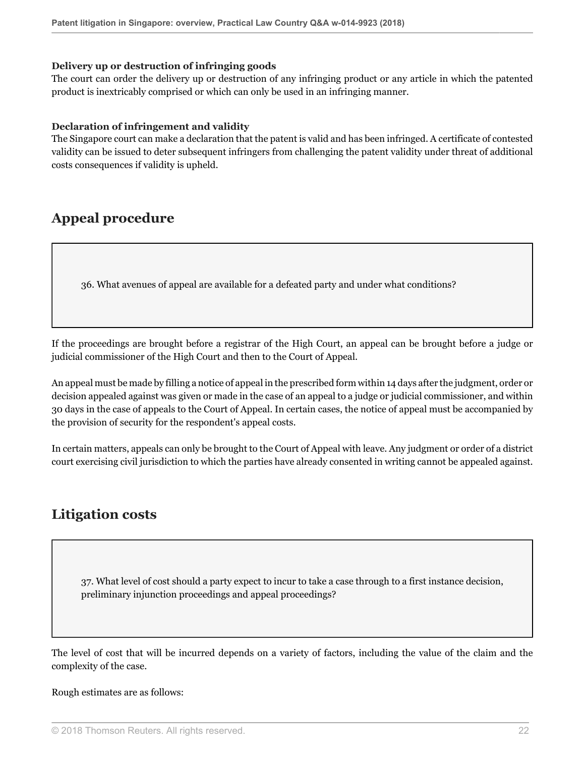#### **Delivery up or destruction of infringing goods**

The court can order the delivery up or destruction of any infringing product or any article in which the patented product is inextricably comprised or which can only be used in an infringing manner.

#### **Declaration of infringement and validity**

The Singapore court can make a declaration that the patent is valid and has been infringed. A certificate of contested validity can be issued to deter subsequent infringers from challenging the patent validity under threat of additional costs consequences if validity is upheld.

### **Appeal procedure**

36. What avenues of appeal are available for a defeated party and under what conditions?

If the proceedings are brought before a registrar of the High Court, an appeal can be brought before a judge or judicial commissioner of the High Court and then to the Court of Appeal.

An appeal must be made by filling a notice of appeal in the prescribed form within 14 days after the judgment, order or decision appealed against was given or made in the case of an appeal to a judge or judicial commissioner, and within 30 days in the case of appeals to the Court of Appeal. In certain cases, the notice of appeal must be accompanied by the provision of security for the respondent's appeal costs.

In certain matters, appeals can only be brought to the Court of Appeal with leave. Any judgment or order of a district court exercising civil jurisdiction to which the parties have already consented in writing cannot be appealed against.

### **Litigation costs**

37. What level of cost should a party expect to incur to take a case through to a first instance decision, preliminary injunction proceedings and appeal proceedings?

The level of cost that will be incurred depends on a variety of factors, including the value of the claim and the complexity of the case.

Rough estimates are as follows: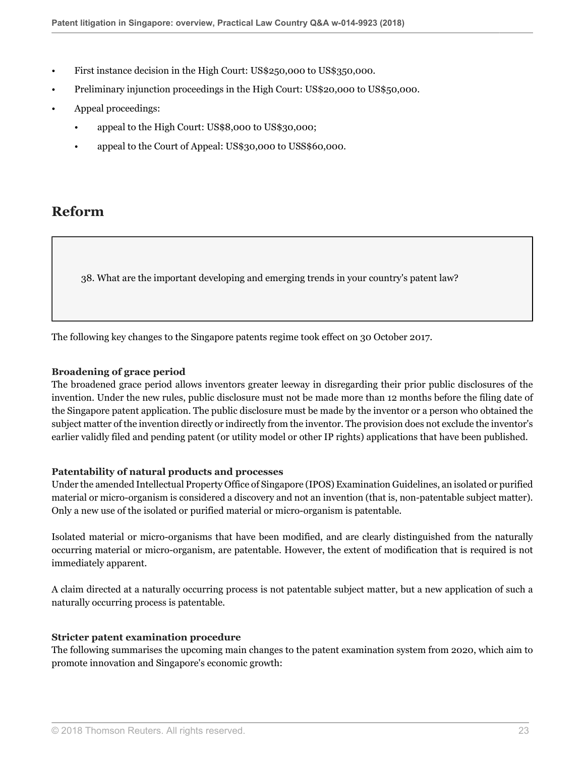- First instance decision in the High Court: US\$250,000 to US\$350,000.
- Preliminary injunction proceedings in the High Court: US\$20,000 to US\$50,000.
- Appeal proceedings:
	- appeal to the High Court: US\$8,000 to US\$30,000;
	- appeal to the Court of Appeal: US\$30,000 to USS\$60,000.

### **Reform**

38. What are the important developing and emerging trends in your country's patent law?

The following key changes to the Singapore patents regime took effect on 30 October 2017.

#### **Broadening of grace period**

The broadened grace period allows inventors greater leeway in disregarding their prior public disclosures of the invention. Under the new rules, public disclosure must not be made more than 12 months before the filing date of the Singapore patent application. The public disclosure must be made by the inventor or a person who obtained the subject matter of the invention directly or indirectly from the inventor. The provision does not exclude the inventor's earlier validly filed and pending patent (or utility model or other IP rights) applications that have been published.

#### **Patentability of natural products and processes**

Under the amended Intellectual Property Office of Singapore (IPOS) Examination Guidelines, an isolated or purified material or micro-organism is considered a discovery and not an invention (that is, non-patentable subject matter). Only a new use of the isolated or purified material or micro-organism is patentable.

Isolated material or micro-organisms that have been modified, and are clearly distinguished from the naturally occurring material or micro-organism, are patentable. However, the extent of modification that is required is not immediately apparent.

A claim directed at a naturally occurring process is not patentable subject matter, but a new application of such a naturally occurring process is patentable.

#### **Stricter patent examination procedure**

The following summarises the upcoming main changes to the patent examination system from 2020, which aim to promote innovation and Singapore's economic growth: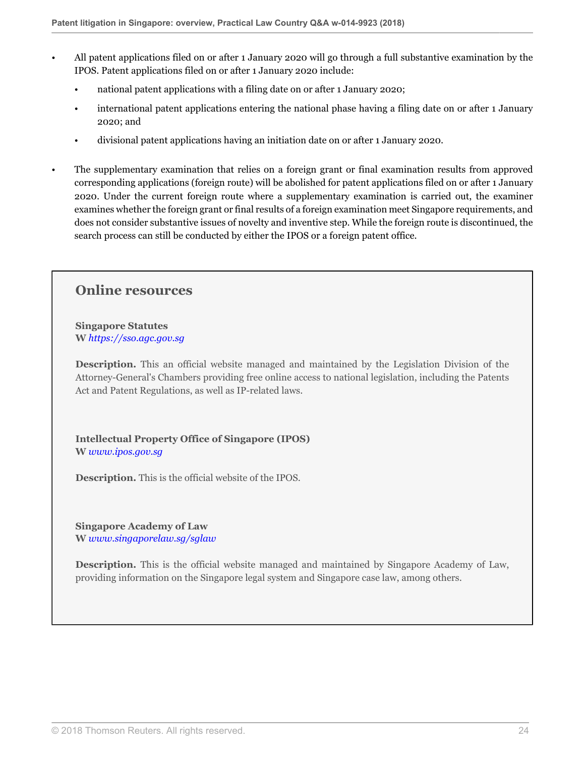- All patent applications filed on or after 1 January 2020 will go through a full substantive examination by the IPOS. Patent applications filed on or after 1 January 2020 include:
	- national patent applications with a filing date on or after 1 January 2020;
	- international patent applications entering the national phase having a filing date on or after 1 January 2020; and
	- divisional patent applications having an initiation date on or after 1 January 2020.
- The supplementary examination that relies on a foreign grant or final examination results from approved corresponding applications (foreign route) will be abolished for patent applications filed on or after 1 January 2020. Under the current foreign route where a supplementary examination is carried out, the examiner examines whether the foreign grant or final results of a foreign examination meet Singapore requirements, and does not consider substantive issues of novelty and inventive step. While the foreign route is discontinued, the search process can still be conducted by either the IPOS or a foreign patent office.

### **Online resources**

**Singapore Statutes W** *[https://sso.agc.gov.sg](https://sso.agc.gov.sg )*

**Description.** This an official website managed and maintained by the Legislation Division of the Attorney-General's Chambers providing free online access to national legislation, including the Patents Act and Patent Regulations, as well as IP-related laws.

**Intellectual Property Office of Singapore (IPOS) W** *[www.ipos.gov.sg](http://www.ipos.gov.sg)*

**Description.** This is the official website of the IPOS.

**Singapore Academy of Law W** *[www.singaporelaw.sg/sglaw](http://www.singaporelaw.sg/sglaw)*

**Description.** This is the official website managed and maintained by Singapore Academy of Law, providing information on the Singapore legal system and Singapore case law, among others.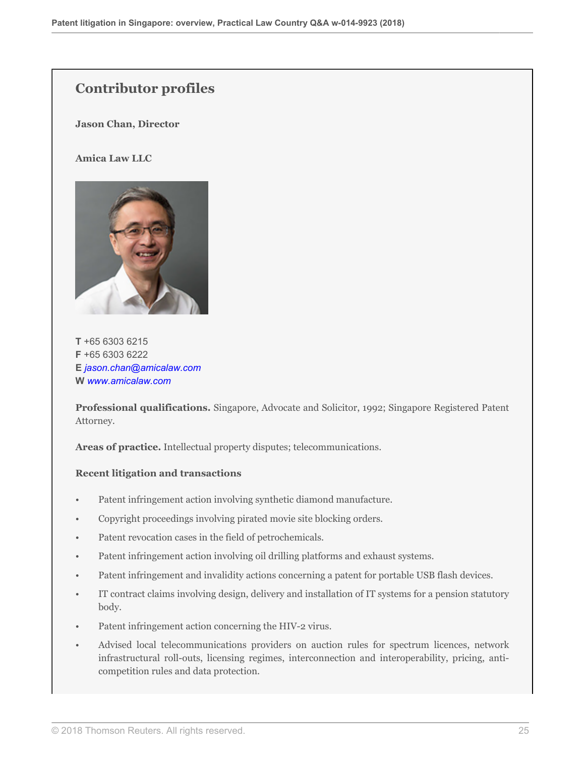## **Contributor profiles**

**Jason Chan, Director**

#### **Amica Law LLC**



**T** +65 6303 6215 **F** +65 6303 6222 **E** *[jason.chan@amicalaw.com](mailto:jason.chan@amicalaw.com)* **W** *[www.amicalaw.com](http://www.amicalaw.com)*

**Professional qualifications.** Singapore, Advocate and Solicitor, 1992; Singapore Registered Patent Attorney.

**Areas of practice.** Intellectual property disputes; telecommunications.

#### **Recent litigation and transactions**

- Patent infringement action involving synthetic diamond manufacture.
- Copyright proceedings involving pirated movie site blocking orders.
- Patent revocation cases in the field of petrochemicals.
- Patent infringement action involving oil drilling platforms and exhaust systems.
- Patent infringement and invalidity actions concerning a patent for portable USB flash devices.
- IT contract claims involving design, delivery and installation of IT systems for a pension statutory body.
- Patent infringement action concerning the HIV-2 virus.
- Advised local telecommunications providers on auction rules for spectrum licences, network infrastructural roll-outs, licensing regimes, interconnection and interoperability, pricing, anticompetition rules and data protection.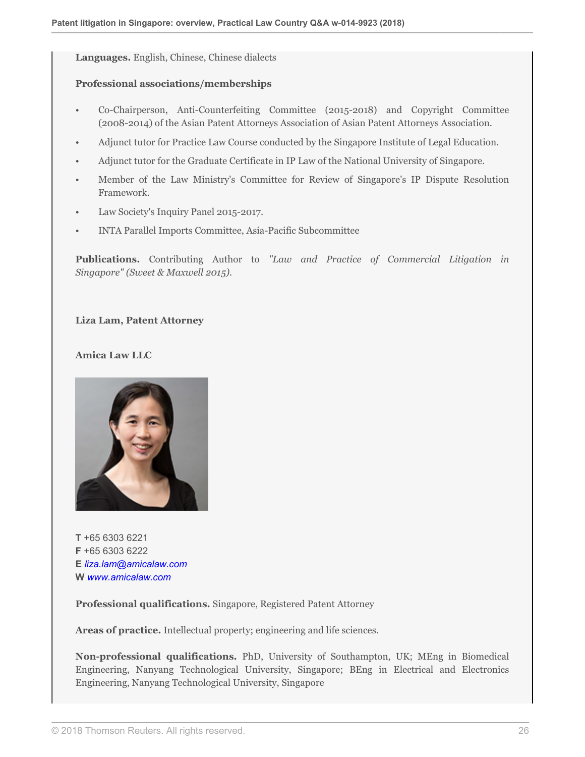**Languages.** English, Chinese, Chinese dialects

#### **Professional associations/memberships**

- Co-Chairperson, Anti-Counterfeiting Committee (2015-2018) and Copyright Committee (2008-2014) of the Asian Patent Attorneys Association of Asian Patent Attorneys Association.
- Adjunct tutor for Practice Law Course conducted by the Singapore Institute of Legal Education.
- Adjunct tutor for the Graduate Certificate in IP Law of the National University of Singapore.
- Member of the Law Ministry's Committee for Review of Singapore's IP Dispute Resolution Framework.
- Law Society's Inquiry Panel 2015-2017.
- INTA Parallel Imports Committee, Asia-Pacific Subcommittee

**Publications.** Contributing Author to *"Law and Practice of Commercial Litigation in Singapore" (Sweet & Maxwell 2015)*.

#### **Liza Lam, Patent Attorney**

#### **Amica Law LLC**



**T** +65 6303 6221 **F** +65 6303 6222 **E** *[liza.lam@amicalaw.com](mailto:liza.lam@amicalaw.com)* **W** *[www.amicalaw.com](http://www.amicalaw.com)*

**Professional qualifications.** Singapore, Registered Patent Attorney

**Areas of practice.** Intellectual property; engineering and life sciences.

**Non-professional qualifications.** PhD, University of Southampton, UK; MEng in Biomedical Engineering, Nanyang Technological University, Singapore; BEng in Electrical and Electronics Engineering, Nanyang Technological University, Singapore